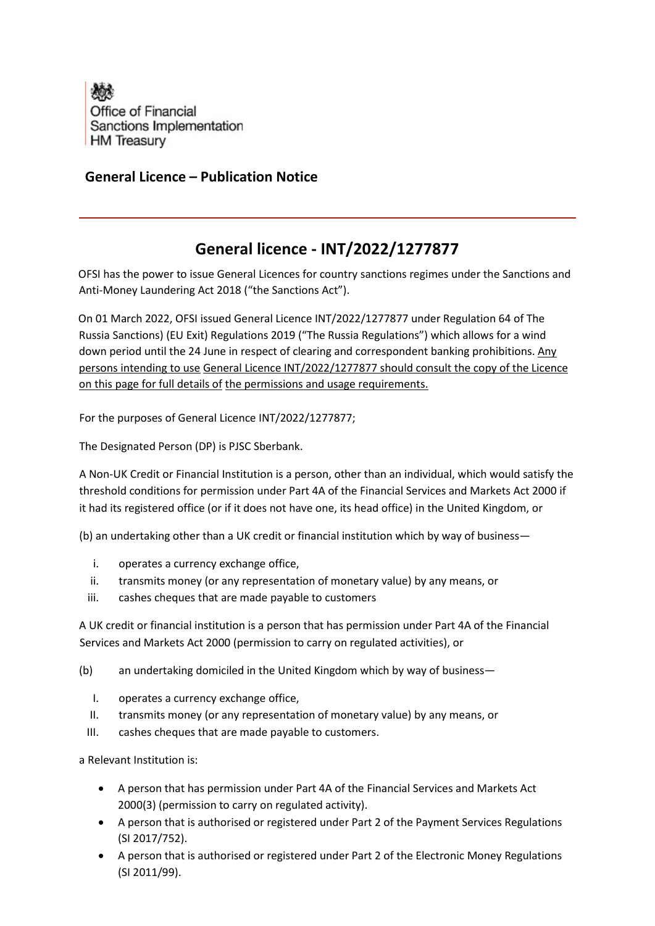

## **General Licence – Publication Notice**

## **General licence - INT/2022/1277877**

OFSI has the power to issue General Licences for country sanctions regimes under the Sanctions and Anti-Money Laundering Act 2018 ("the Sanctions Act").

On 01 March 2022, OFSI issued General Licence INT/2022/1277877 under Regulation 64 of The Russia Sanctions) (EU Exit) Regulations 2019 ("The Russia Regulations") which allows for a wind down period until the 24 June in respect of clearing and correspondent banking prohibitions. Any persons intending to use General Licence INT/2022/1277877 should consult the copy of the Licence on this page for full details of the permissions and usage requirements.

For the purposes of General Licence INT/2022/1277877;

The Designated Person (DP) is PJSC Sberbank.

A Non-UK Credit or Financial Institution is a person, other than an individual, which would satisfy the threshold conditions for permission under Part 4A of the Financial Services and Markets Act 2000 if it had its registered office (or if it does not have one, its head office) in the United Kingdom, or

(b) an undertaking other than a UK credit or financial institution which by way of business—

- i. operates a currency exchange office,
- ii. transmits money (or any representation of monetary value) by any means, or
- iii. cashes cheques that are made payable to customers

A UK credit or financial institution is a person that has permission under Part 4A of the Financial Services and Markets Act 2000 (permission to carry on regulated activities), or

- (b) an undertaking domiciled in the United Kingdom which by way of business—
	- I. operates a currency exchange office,
	- II. transmits money (or any representation of monetary value) by any means, or
	- III. cashes cheques that are made payable to customers.

a Relevant Institution is:

- A person that has permission under Part 4A of the Financial Services and Markets Act 2000(3) (permission to carry on regulated activity).
- A person that is authorised or registered under Part 2 of the Payment Services Regulations (SI 2017/752).
- A person that is authorised or registered under Part 2 of the Electronic Money Regulations (SI 2011/99).